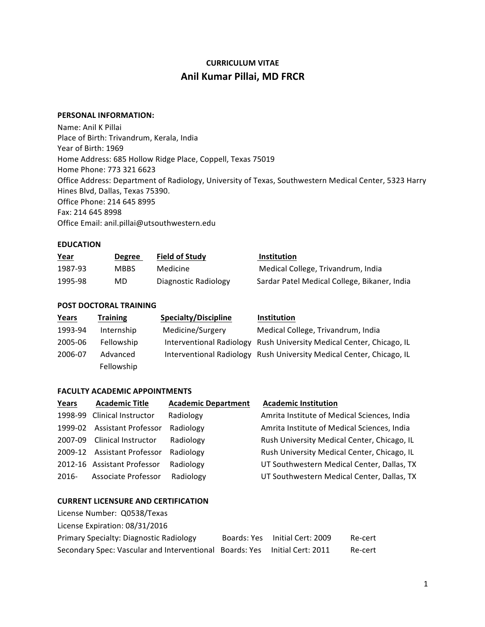# **CURRICULUM VITAE Anil Kumar Pillai, MD FRCR**

## **PERSONAL INFORMATION:**

Name: Anil K Pillai Place of Birth: Trivandrum, Kerala, India Year of Birth: 1969 Home Address: 685 Hollow Ridge Place, Coppell, Texas 75019 Home Phone: 773 321 6623 Office Address: Department of Radiology, University of Texas, Southwestern Medical Center, 5323 Harry Hines Blvd, Dallas, Texas 75390. Office Phone: 214 645 8995 Fax: 214 645 8998 Office Email: anil.pillai@utsouthwestern.edu

## **EDUCATION**

| <u>Year</u> | <b>Degree</b> | <b>Field of Study</b> | Institution                                  |
|-------------|---------------|-----------------------|----------------------------------------------|
| 1987-93     | <b>MBBS</b>   | Medicine              | Medical College, Trivandrum, India           |
| 1995-98     | MD            | Diagnostic Radiology  | Sardar Patel Medical College, Bikaner, India |

## **POST DOCTORAL TRAINING**

| Years   | <b>Training</b> | <b>Specialty/Discipline</b> | <b>Institution</b>                                                   |
|---------|-----------------|-----------------------------|----------------------------------------------------------------------|
| 1993-94 | Internship      | Medicine/Surgery            | Medical College, Trivandrum, India                                   |
| 2005-06 | Fellowship      |                             | Interventional Radiology Rush University Medical Center, Chicago, IL |
| 2006-07 | Advanced        |                             | Interventional Radiology Rush University Medical Center, Chicago, IL |
|         | Fellowship      |                             |                                                                      |

#### **FACULTY ACADEMIC APPOINTMENTS**

| Years    | <b>Academic Title</b>       | <b>Academic Department</b> | <b>Academic Institution</b>                 |
|----------|-----------------------------|----------------------------|---------------------------------------------|
|          | 1998-99 Clinical Instructor | Radiology                  | Amrita Institute of Medical Sciences, India |
| 1999-02  | <b>Assistant Professor</b>  | Radiology                  | Amrita Institute of Medical Sciences, India |
| 2007-09  | <b>Clinical Instructor</b>  | Radiology                  | Rush University Medical Center, Chicago, IL |
|          | 2009-12 Assistant Professor | Radiology                  | Rush University Medical Center, Chicago, IL |
|          | 2012-16 Assistant Professor | Radiology                  | UT Southwestern Medical Center, Dallas, TX  |
| $2016 -$ | Associate Professor         | Radiology                  | UT Southwestern Medical Center, Dallas, TX  |

#### **CURRENT LICENSURE AND CERTIFICATION**

| License Number: Q0538/Texas                             |                                |         |
|---------------------------------------------------------|--------------------------------|---------|
| License Expiration: 08/31/2016                          |                                |         |
| <b>Primary Specialty: Diagnostic Radiology</b>          | Boards: Yes Initial Cert: 2009 | Re-cert |
| Secondary Spec: Vascular and Interventional Boards: Yes | Initial Cert: 2011             | Re-cert |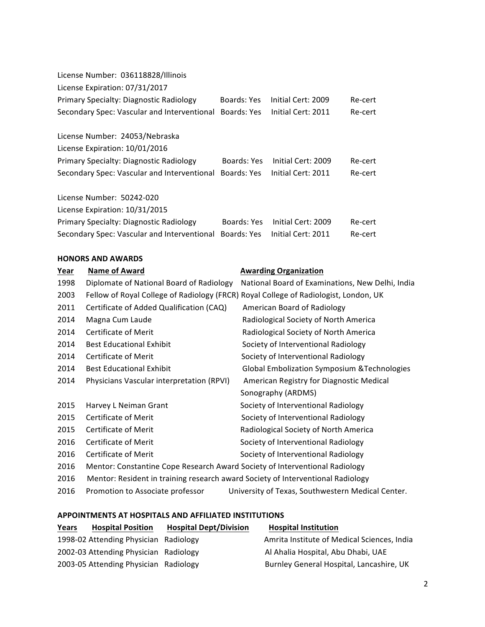| License Number: 036118828/Illinois                      |             |                    |         |
|---------------------------------------------------------|-------------|--------------------|---------|
| License Expiration: 07/31/2017                          |             |                    |         |
| Primary Specialty: Diagnostic Radiology                 | Boards: Yes | Initial Cert: 2009 | Re-cert |
| Secondary Spec: Vascular and Interventional Boards: Yes |             | Initial Cert: 2011 | Re-cert |
| License Number: 24053/Nebraska                          |             |                    |         |
| License Expiration: 10/01/2016                          |             |                    |         |
| Primary Specialty: Diagnostic Radiology                 | Boards: Yes | Initial Cert: 2009 | Re-cert |
| Secondary Spec: Vascular and Interventional             | Boards: Yes | Initial Cert: 2011 | Re-cert |
| License Number: 50242-020                               |             |                    |         |
| License Expiration: 10/31/2015                          |             |                    |         |
| Primary Specialty: Diagnostic Radiology                 | Boards: Yes | Initial Cert: 2009 | Re-cert |
| Secondary Spec: Vascular and Interventional             | Boards: Yes | Initial Cert: 2011 | Re-cert |

## **HONORS AND AWARDS**

| Year | <b>Name of Award</b>                                                                 | <b>Awarding Organization</b>                            |
|------|--------------------------------------------------------------------------------------|---------------------------------------------------------|
| 1998 | Diplomate of National Board of Radiology                                             | National Board of Examinations, New Delhi, India        |
| 2003 | Fellow of Royal College of Radiology (FRCR) Royal College of Radiologist, London, UK |                                                         |
| 2011 | Certificate of Added Qualification (CAQ)                                             | American Board of Radiology                             |
| 2014 | Magna Cum Laude                                                                      | Radiological Society of North America                   |
| 2014 | Certificate of Merit                                                                 | Radiological Society of North America                   |
| 2014 | <b>Best Educational Exhibit</b>                                                      | Society of Interventional Radiology                     |
| 2014 | Certificate of Merit                                                                 | Society of Interventional Radiology                     |
| 2014 | <b>Best Educational Exhibit</b>                                                      | <b>Global Embolization Symposium &amp; Technologies</b> |
| 2014 | Physicians Vascular interpretation (RPVI)                                            | American Registry for Diagnostic Medical                |
|      |                                                                                      | Sonography (ARDMS)                                      |
| 2015 | Harvey L Neiman Grant                                                                | Society of Interventional Radiology                     |
| 2015 | Certificate of Merit                                                                 | Society of Interventional Radiology                     |
| 2015 | Certificate of Merit                                                                 | Radiological Society of North America                   |
| 2016 | Certificate of Merit                                                                 | Society of Interventional Radiology                     |
| 2016 | Certificate of Merit                                                                 | Society of Interventional Radiology                     |
| 2016 | Mentor: Constantine Cope Research Award Society of Interventional Radiology          |                                                         |
| 2016 | Mentor: Resident in training research award Society of Interventional Radiology      |                                                         |
|      |                                                                                      |                                                         |

# 2016 Promotion to Associate professor University of Texas, Southwestern Medical Center.

## **APPOINTMENTS AT HOSPITALS AND AFFILIATED INSTITUTIONS**

| Years | <b>Hospital Position</b>              | <b>Hospital Dept/Division</b> | <b>Hospital Institution</b>                 |
|-------|---------------------------------------|-------------------------------|---------------------------------------------|
|       | 1998-02 Attending Physician Radiology |                               | Amrita Institute of Medical Sciences, India |
|       | 2002-03 Attending Physician Radiology |                               | Al Ahalia Hospital, Abu Dhabi, UAE          |
|       | 2003-05 Attending Physician Radiology |                               | Burnley General Hospital, Lancashire, UK    |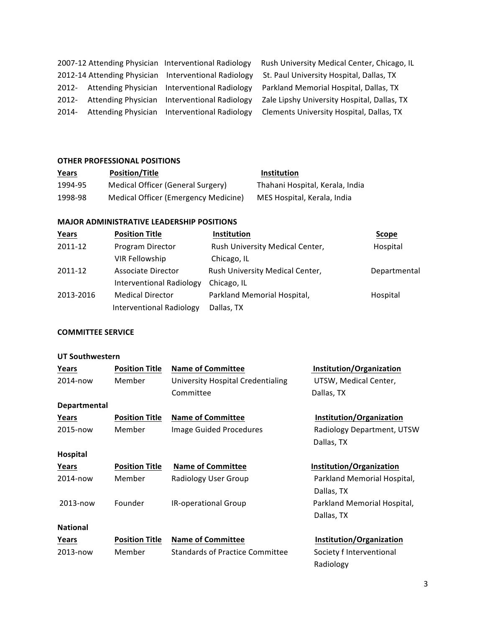|  | 2007-12 Attending Physician Interventional Radiology |
|--|------------------------------------------------------|
|  | 2012-14 Attending Physician Interventional Radiology |
|  | 2012- Attending Physician Interventional Radiology   |
|  | 2012- Attending Physician Interventional Radiology   |
|  | 2014- Attending Physician Interventional Radiology   |

Rush University Medical Center, Chicago, IL St. Paul University Hospital, Dallas, TX Parkland Memorial Hospital, Dallas, TX Zale Lipshy University Hospital, Dallas, TX ng Physician Interventional Radiology Clements University Hospital, Dallas, TX

## **OTHER PROFESSIONAL POSITIONS**

| Years   | <b>Position/Title</b>                | <b>Institution</b>              |
|---------|--------------------------------------|---------------------------------|
| 1994-95 | Medical Officer (General Surgery)    | Thahani Hospital, Kerala, India |
| 1998-98 | Medical Officer (Emergency Medicine) | MES Hospital, Kerala, India     |

### **MAJOR ADMINISTRATIVE LEADERSHIP POSITIONS**

| Years     | <b>Position Title</b>           | Institution                     | Scope        |
|-----------|---------------------------------|---------------------------------|--------------|
| 2011-12   | Program Director                | Rush University Medical Center, | Hospital     |
|           | VIR Fellowship                  | Chicago, IL                     |              |
| 2011-12   | Associate Director              | Rush University Medical Center, | Departmental |
|           | <b>Interventional Radiology</b> | Chicago, IL                     |              |
| 2013-2016 | <b>Medical Director</b>         | Parkland Memorial Hospital,     | Hospital     |
|           | <b>Interventional Radiology</b> | Dallas, TX                      |              |

# **COMMITTEE SERVICE**

|  | <b>UT Southwestern</b> |  |
|--|------------------------|--|
|--|------------------------|--|

| Years           | <b>Position Title</b> | <b>Name of Committee</b>               | Institution/Organization    |
|-----------------|-----------------------|----------------------------------------|-----------------------------|
| 2014-now        | Member                | University Hospital Credentialing      | UTSW, Medical Center,       |
|                 |                       | Committee                              | Dallas, TX                  |
| Departmental    |                       |                                        |                             |
| Years           | <b>Position Title</b> | <b>Name of Committee</b>               | Institution/Organization    |
| 2015-now        | Member                | <b>Image Guided Procedures</b>         | Radiology Department, UTSW  |
|                 |                       |                                        | Dallas, TX                  |
| Hospital        |                       |                                        |                             |
| Years           | <b>Position Title</b> | <b>Name of Committee</b>               | Institution/Organization    |
| 2014-now        | Member                | Radiology User Group                   | Parkland Memorial Hospital, |
|                 |                       |                                        | Dallas, TX                  |
| 2013-now        | Founder               | IR-operational Group                   | Parkland Memorial Hospital, |
|                 |                       |                                        | Dallas, TX                  |
| <b>National</b> |                       |                                        |                             |
| Years           | <b>Position Title</b> | <b>Name of Committee</b>               | Institution/Organization    |
| 2013-now        | Member                | <b>Standards of Practice Committee</b> | Society f Interventional    |
|                 |                       |                                        | Radiology                   |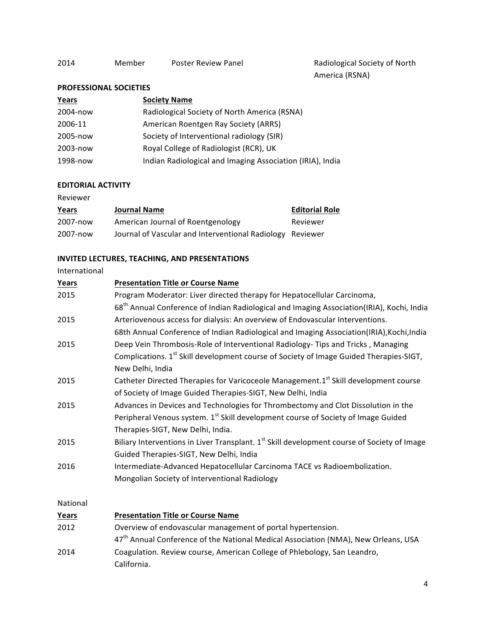America (RSNA)

# **PROFESSIONAL SOCIETIES**

| Years    | <b>Society Name</b>                                       |
|----------|-----------------------------------------------------------|
| 2004-now | Radiological Society of North America (RSNA)              |
| 2006-11  | American Roentgen Ray Society (ARRS)                      |
| 2005-now | Society of Interventional radiology (SIR)                 |
| 2003-now | Royal College of Radiologist (RCR), UK                    |
| 1998-now | Indian Radiological and Imaging Association (IRIA), India |

## **EDITORIAL ACTIVITY**

Reviewer

| Years    | <b>Journal Name</b>                                       | <b>Editorial Role</b> |  |
|----------|-----------------------------------------------------------|-----------------------|--|
| 2007-now | American Journal of Roentgenology                         | Reviewer              |  |
| 2007-now | Journal of Vascular and Interventional Radiology Reviewer |                       |  |

# **INVITED LECTURES, TEACHING, AND PRESENTATIONS**

International

| Years    | <b>Presentation Title or Course Name</b>                                                                |
|----------|---------------------------------------------------------------------------------------------------------|
| 2015     | Program Moderator: Liver directed therapy for Hepatocellular Carcinoma,                                 |
|          | 68 <sup>th</sup> Annual Conference of Indian Radiological and Imaging Association(IRIA), Kochi, India   |
| 2015     | Arteriovenous access for dialysis: An overview of Endovascular Interventions.                           |
|          | 68th Annual Conference of Indian Radiological and Imaging Association(IRIA), Kochi, India               |
| 2015     | Deep Vein Thrombosis-Role of Interventional Radiology- Tips and Tricks, Managing                        |
|          | Complications. 1 <sup>st</sup> Skill development course of Society of Image Guided Therapies-SIGT,      |
|          | New Delhi, India                                                                                        |
| 2015     | Catheter Directed Therapies for Varicoceole Management.1 <sup>st</sup> Skill development course         |
|          | of Society of Image Guided Therapies-SIGT, New Delhi, India                                             |
| 2015     | Advances in Devices and Technologies for Thrombectomy and Clot Dissolution in the                       |
|          | Peripheral Venous system. 1 <sup>st</sup> Skill development course of Society of Image Guided           |
|          | Therapies-SIGT, New Delhi, India.                                                                       |
| 2015     | Biliary Interventions in Liver Transplant. 1 <sup>st</sup> Skill development course of Society of Image |
|          | Guided Therapies-SIGT, New Delhi, India                                                                 |
| 2016     | Intermediate-Advanced Hepatocellular Carcinoma TACE vs Radioembolization.                               |
|          | Mongolian Society of Interventional Radiology                                                           |
| National |                                                                                                         |

| Years | <b>Presentation Title or Course Name</b>                                                       |
|-------|------------------------------------------------------------------------------------------------|
| 2012  | Overview of endovascular management of portal hypertension.                                    |
|       | 47 <sup>th</sup> Annual Conference of the National Medical Association (NMA), New Orleans, USA |
| 2014  | Coagulation. Review course, American College of Phlebology, San Leandro,                       |
|       | California.                                                                                    |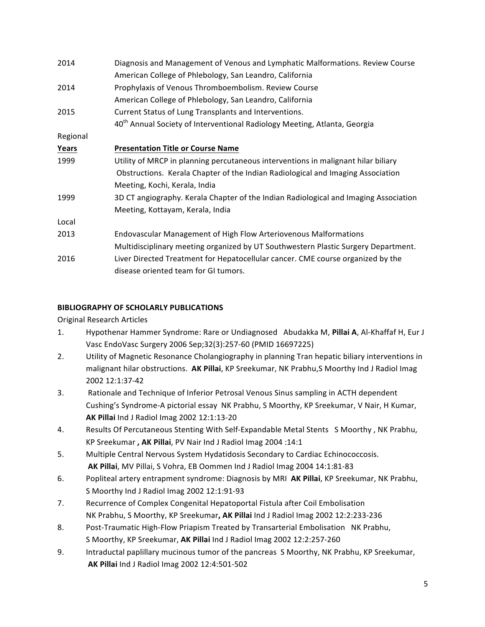| 2014     | Diagnosis and Management of Venous and Lymphatic Malformations. Review Course<br>American College of Phlebology, San Leandro, California |
|----------|------------------------------------------------------------------------------------------------------------------------------------------|
| 2014     | Prophylaxis of Venous Thromboembolism. Review Course                                                                                     |
|          | American College of Phlebology, San Leandro, California                                                                                  |
| 2015     | Current Status of Lung Transplants and Interventions.                                                                                    |
|          | 40 <sup>th</sup> Annual Society of Interventional Radiology Meeting, Atlanta, Georgia                                                    |
| Regional |                                                                                                                                          |
| Years    | <b>Presentation Title or Course Name</b>                                                                                                 |
| 1999     | Utility of MRCP in planning percutaneous interventions in malignant hilar biliary                                                        |
|          | Obstructions. Kerala Chapter of the Indian Radiological and Imaging Association                                                          |
|          | Meeting, Kochi, Kerala, India                                                                                                            |
| 1999     | 3D CT angiography. Kerala Chapter of the Indian Radiological and Imaging Association                                                     |
|          | Meeting, Kottayam, Kerala, India                                                                                                         |
| Local    |                                                                                                                                          |
| 2013     | Endovascular Management of High Flow Arteriovenous Malformations                                                                         |
|          | Multidisciplinary meeting organized by UT Southwestern Plastic Surgery Department.                                                       |
| 2016     | Liver Directed Treatment for Hepatocellular cancer. CME course organized by the                                                          |
|          | disease oriented team for GI tumors.                                                                                                     |

# **BIBLIOGRAPHY OF SCHOLARLY PUBLICATIONS**

Original Research Articles

- 1. Hypothenar Hammer Syndrome: Rare or Undiagnosed Abudakka M, Pillai A, Al-Khaffaf H, Eur J Vasc EndoVasc Surgery 2006 Sep;32(3):257-60 (PMID 16697225)
- 2. Utility of Magnetic Resonance Cholangiography in planning Tran hepatic biliary interventions in malignant hilar obstructions. AK Pillai, KP Sreekumar, NK Prabhu,S Moorthy Ind J Radiol Imag 2002 12:1:37-42
- 3. Rationale and Technique of Inferior Petrosal Venous Sinus sampling in ACTH dependent Cushing's Syndrome-A pictorial essay NK Prabhu, S Moorthy, KP Sreekumar, V Nair, H Kumar, **AK Pillai** Ind J Radiol Imag 2002 12:1:13-20
- 4. Results Of Percutaneous Stenting With Self-Expandable Metal Stents S Moorthy, NK Prabhu, KP Sreekumar, AK Pillai, PV Nair Ind J Radiol Imag 2004 :14:1
- 5. Multiple Central Nervous System Hydatidosis Secondary to Cardiac Echinococcosis. **AK Pillai**, MV Pillai, S Vohra, EB Oommen Ind J Radiol Imag 2004 14:1:81-83
- 6. Popliteal artery entrapment syndrome: Diagnosis by MRI AK Pillai, KP Sreekumar, NK Prabhu, S Moorthy Ind J Radiol Imag 2002 12:1:91-93
- 7. Recurrence of Complex Congenital Hepatoportal Fistula after Coil Embolisation NK Prabhu, S Moorthy, KP Sreekumar, AK Pillai Ind J Radiol Imag 2002 12:2:233-236
- 8. Post-Traumatic High-Flow Priapism Treated by Transarterial Embolisation NK Prabhu, S Moorthy, KP Sreekumar, AK Pillai Ind J Radiol Imag 2002 12:2:257-260
- 9. Intraductal paplillary mucinous tumor of the pancreas S Moorthy, NK Prabhu, KP Sreekumar, **AK Pillai** Ind J Radiol Imag 2002 12:4:501-502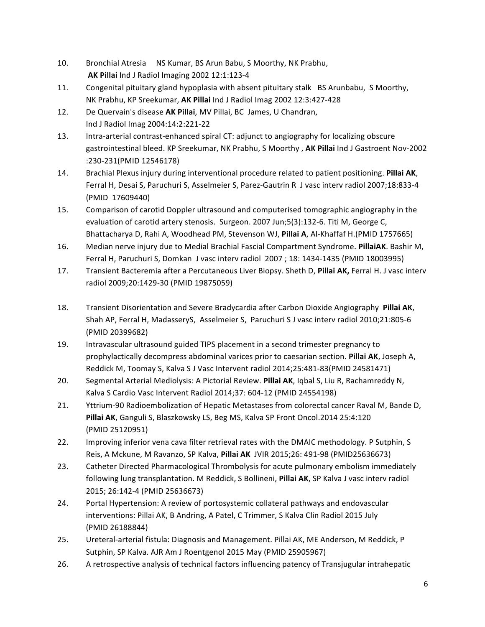- 10. Bronchial Atresia NS Kumar, BS Arun Babu, S Moorthy, NK Prabhu, **AK Pillai** Ind J Radiol Imaging 2002 12:1:123-4
- 11. Congenital pituitary gland hypoplasia with absent pituitary stalk BS Arunbabu, S Moorthy, NK Prabhu, KP Sreekumar, AK Pillai Ind J Radiol Imag 2002 12:3:427-428
- 12. De Quervain's disease AK Pillai, MV Pillai, BC James, U Chandran, Ind J Radiol Imag 2004:14:2:221-22
- 13. Intra-arterial contrast-enhanced spiral CT: adjunct to angiography for localizing obscure gastrointestinal bleed. KP Sreekumar, NK Prabhu, S Moorthy, AK Pillai Ind J Gastroent Nov-2002 :230-231(PMID 12546178)
- 14. Brachial Plexus injury during interventional procedure related to patient positioning. Pillai AK, Ferral H, Desai S, Paruchuri S, Asselmeier S, Parez-Gautrin R J vasc interv radiol 2007;18:833-4 (PMID 17609440)
- 15. Comparison of carotid Doppler ultrasound and computerised tomographic angiography in the evaluation of carotid artery stenosis. Surgeon. 2007 Jun;5(3):132-6. Titi M, George C, Bhattacharya D, Rahi A, Woodhead PM, Stevenson WJ, Pillai A, Al-Khaffaf H.(PMID 1757665)
- 16. Median nerve injury due to Medial Brachial Fascial Compartment Syndrome. PillaiAK. Bashir M, Ferral H, Paruchuri S, Domkan J vasc interv radiol 2007 ; 18: 1434-1435 (PMID 18003995)
- 17. Transient Bacteremia after a Percutaneous Liver Biopsy. Sheth D, Pillai AK, Ferral H. J vasc interv radiol 2009;20:1429-30 (PMID 19875059)
- 18. Transient Disorientation and Severe Bradycardia after Carbon Dioxide Angiography Pillai AK, Shah AP, Ferral H, MadasseryS, Asselmeier S, Paruchuri S J vasc interv radiol 2010;21:805-6 (PMID 20399682)
- 19. Intravascular ultrasound guided TIPS placement in a second trimester pregnancy to prophylactically decompress abdominal varices prior to caesarian section. **Pillai AK**, Joseph A, Reddick M, Toomay S, Kalva S J Vasc Intervent radiol 2014;25:481-83(PMID 24581471)
- 20. Segmental Arterial Mediolysis: A Pictorial Review. Pillai AK, Igbal S, Liu R, Rachamreddy N, Kalva S Cardio Vasc Intervent Radiol 2014;37: 604-12 (PMID 24554198)
- 21. Yttrium-90 Radioembolization of Hepatic Metastases from colorectal cancer Raval M, Bande D, Pillai AK, Ganguli S, Blaszkowsky LS, Beg MS, Kalva SP Front Oncol.2014 25:4:120 (PMID 25120951)
- 22. Improving inferior vena cava filter retrieval rates with the DMAIC methodology. P Sutphin, S Reis, A Mckune, M Ravanzo, SP Kalva, Pillai AK JVIR 2015;26: 491-98 (PMID25636673)
- 23. Catheter Directed Pharmacological Thrombolysis for acute pulmonary embolism immediately following lung transplantation. M Reddick, S Bollineni, Pillai AK, SP Kalva J vasc interv radiol 2015; 26:142-4 (PMID 25636673)
- 24. Portal Hypertension: A review of portosystemic collateral pathways and endovascular interventions: Pillai AK, B Andring, A Patel, C Trimmer, S Kalva Clin Radiol 2015 July (PMID 26188844)
- 25. Ureteral-arterial fistula: Diagnosis and Management. Pillai AK, ME Anderson, M Reddick, P Sutphin, SP Kalva. AJR Am J Roentgenol 2015 May (PMID 25905967)
- 26. A retrospective analysis of technical factors influencing patency of Transjugular intrahepatic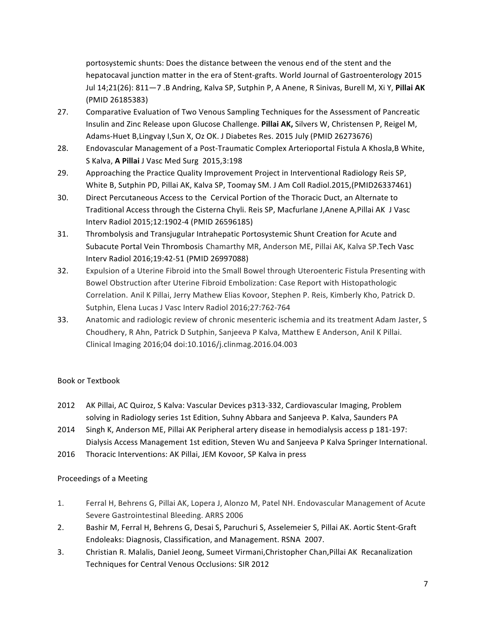portosystemic shunts: Does the distance between the venous end of the stent and the hepatocaval junction matter in the era of Stent-grafts. World Journal of Gastroenterology 2015 Jul 14;21(26): 811-7 .B Andring, Kalva SP, Sutphin P, A Anene, R Sinivas, Burell M, Xi Y, Pillai AK (PMID 26185383)

- 27. Comparative Evaluation of Two Venous Sampling Techniques for the Assessment of Pancreatic Insulin and Zinc Release upon Glucose Challenge. Pillai AK, Silvers W, Christensen P, Reigel M, Adams-Huet B, Lingvay I, Sun X, Oz OK. J Diabetes Res. 2015 July (PMID 26273676)
- 28. Endovascular Management of a Post-Traumatic Complex Arterioportal Fistula A Khosla,B White, S Kalva, **A Pillai** J Vasc Med Surg 2015,3:198
- 29. Approaching the Practice Quality Improvement Project in Interventional Radiology Reis SP, White B, Sutphin PD, Pillai AK, Kalva SP, Toomay SM. J Am Coll Radiol.2015,(PMID26337461)
- 30. Direct Percutaneous Access to the Cervical Portion of the Thoracic Duct, an Alternate to Traditional Access through the Cisterna Chyli. Reis SP, Macfurlane J, Anene A, Pillai AK J Vasc Interv Radiol 2015;12:1902-4 (PMID 26596185)
- 31. Thrombolysis and Transjugular Intrahepatic Portosystemic Shunt Creation for Acute and Subacute Portal Vein Thrombosis Chamarthy MR, Anderson ME, Pillai AK, Kalva SP.Tech Vasc Interv Radiol 2016;19:42-51 (PMID 26997088)
- 32. Expulsion of a Uterine Fibroid into the Small Bowel through Uteroenteric Fistula Presenting with Bowel Obstruction after Uterine Fibroid Embolization: Case Report with Histopathologic Correlation. Anil K Pillai, Jerry Mathew Elias Kovoor, Stephen P. Reis, Kimberly Kho, Patrick D. Sutphin, Elena Lucas J Vasc Interv Radiol 2016;27:762-764
- 33. Anatomic and radiologic review of chronic mesenteric ischemia and its treatment Adam Jaster, S Choudhery, R Ahn, Patrick D Sutphin, Sanjeeva P Kalva, Matthew E Anderson, Anil K Pillai. Clinical Imaging 2016;04 doi:10.1016/j.clinmag.2016.04.003

# Book or Textbook

- 2012 AK Pillai, AC Quiroz, S Kalva: Vascular Devices p313-332, Cardiovascular Imaging, Problem solving in Radiology series 1st Edition, Suhny Abbara and Sanjeeva P. Kalva, Saunders PA
- 2014 Singh K, Anderson ME, Pillai AK Peripheral artery disease in hemodialysis access p 181-197: Dialysis Access Management 1st edition, Steven Wu and Sanjeeva P Kalva Springer International.
- 2016 Thoracic Interventions: AK Pillai, JEM Kovoor, SP Kalva in press

# Proceedings of a Meeting

- 1. Ferral H, Behrens G, Pillai AK, Lopera J, Alonzo M, Patel NH. Endovascular Management of Acute Severe Gastrointestinal Bleeding. ARRS 2006
- 2. Bashir M, Ferral H, Behrens G, Desai S, Paruchuri S, Asselemeier S, Pillai AK. Aortic Stent-Graft Endoleaks: Diagnosis, Classification, and Management. RSNA 2007.
- 3. Christian R. Malalis, Daniel Jeong, Sumeet Virmani, Christopher Chan, Pillai AK Recanalization Techniques for Central Venous Occlusions: SIR 2012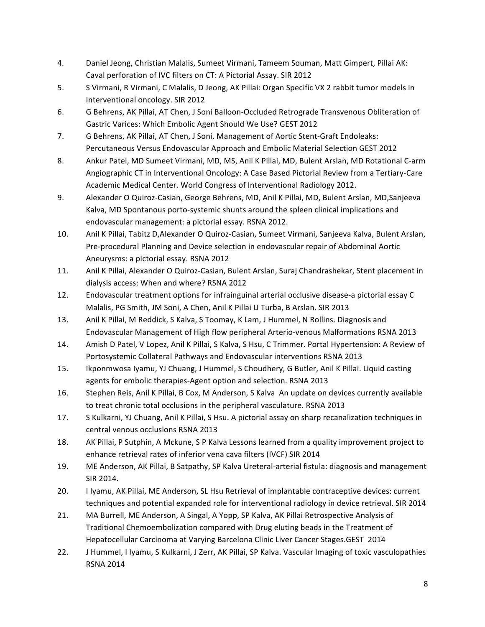- 4. Daniel Jeong, Christian Malalis, Sumeet Virmani, Tameem Souman, Matt Gimpert, Pillai AK: Caval perforation of IVC filters on CT: A Pictorial Assay. SIR 2012
- 5. S Virmani, R Virmani, C Malalis, D Jeong, AK Pillai: Organ Specific VX 2 rabbit tumor models in Interventional oncology. SIR 2012
- 6. G Behrens, AK Pillai, AT Chen, J Soni Balloon-Occluded Retrograde Transvenous Obliteration of Gastric Varices: Which Embolic Agent Should We Use? GEST 2012
- 7. G Behrens, AK Pillai, AT Chen, J Soni. Management of Aortic Stent-Graft Endoleaks: Percutaneous Versus Endovascular Approach and Embolic Material Selection GEST 2012
- 8. Ankur Patel, MD Sumeet Virmani, MD, MS, Anil K Pillai, MD, Bulent Arslan, MD Rotational C-arm Angiographic CT in Interventional Oncology: A Case Based Pictorial Review from a Tertiary-Care Academic Medical Center. World Congress of Interventional Radiology 2012.
- 9. Alexander O Quiroz-Casian, George Behrens, MD, Anil K Pillai, MD, Bulent Arslan, MD, Sanjeeva Kalva, MD Spontanous porto-systemic shunts around the spleen clinical implications and endovascular management: a pictorial essay. RSNA 2012.
- 10. Anil K Pillai, Tabitz D,Alexander O Quiroz-Casian, Sumeet Virmani, Sanjeeva Kalva, Bulent Arslan, Pre-procedural Planning and Device selection in endovascular repair of Abdominal Aortic Aneurysms: a pictorial essay. RSNA 2012
- 11. Anil K Pillai, Alexander O Quiroz-Casian, Bulent Arslan, Suraj Chandrashekar, Stent placement in dialysis access: When and where? RSNA 2012
- 12. Endovascular treatment options for infrainguinal arterial occlusive disease-a pictorial essay C Malalis, PG Smith, JM Soni, A Chen, Anil K Pillai U Turba, B Arslan. SIR 2013
- 13. Anil K Pillai, M Reddick, S Kalva, S Toomay, K Lam, J Hummel, N Rollins. Diagnosis and Endovascular Management of High flow peripheral Arterio-venous Malformations RSNA 2013
- 14. Amish D Patel, V Lopez, Anil K Pillai, S Kalva, S Hsu, C Trimmer. Portal Hypertension: A Review of Portosystemic Collateral Pathways and Endovascular interventions RSNA 2013
- 15. Ikponmwosa Iyamu, YJ Chuang, J Hummel, S Choudhery, G Butler, Anil K Pillai. Liquid casting agents for embolic therapies-Agent option and selection. RSNA 2013
- 16. Stephen Reis, Anil K Pillai, B Cox, M Anderson, S Kalva An update on devices currently available to treat chronic total occlusions in the peripheral vasculature. RSNA 2013
- 17. S Kulkarni, YJ Chuang, Anil K Pillai, S Hsu. A pictorial assay on sharp recanalization techniques in central venous occlusions RSNA 2013
- 18. AK Pillai, P Sutphin, A Mckune, S P Kalva Lessons learned from a quality improvement project to enhance retrieval rates of inferior vena cava filters (IVCF) SIR 2014
- 19. ME Anderson, AK Pillai, B Satpathy, SP Kalva Ureteral-arterial fistula: diagnosis and management SIR 2014.
- 20. I Iyamu, AK Pillai, ME Anderson, SL Hsu Retrieval of implantable contraceptive devices: current techniques and potential expanded role for interventional radiology in device retrieval. SIR 2014
- 21. MA Burrell, ME Anderson, A Singal, A Yopp, SP Kalva, AK Pillai Retrospective Analysis of Traditional Chemoembolization compared with Drug eluting beads in the Treatment of Hepatocellular Carcinoma at Varying Barcelona Clinic Liver Cancer Stages.GEST 2014
- 22. J Hummel, I Iyamu, S Kulkarni, J Zerr, AK Pillai, SP Kalva. Vascular Imaging of toxic vasculopathies RSNA 2014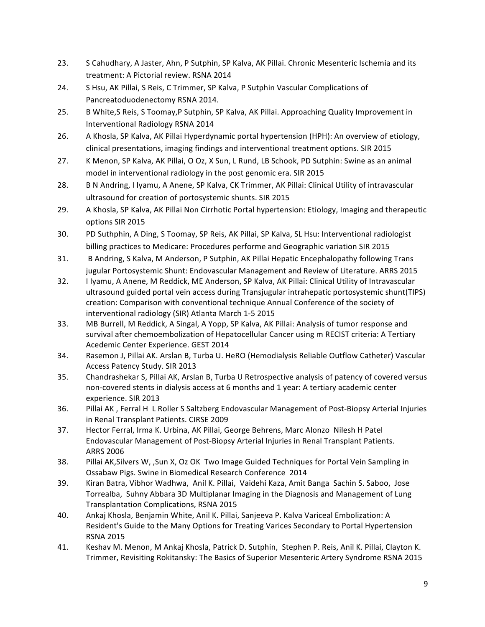- 23. S Cahudhary, A Jaster, Ahn, P Sutphin, SP Kalva, AK Pillai. Chronic Mesenteric Ischemia and its treatment: A Pictorial review. RSNA 2014
- 24. S Hsu, AK Pillai, S Reis, C Trimmer, SP Kalva, P Sutphin Vascular Complications of Pancreatoduodenectomy RSNA 2014.
- 25. B White, S Reis, S Toomay, P Sutphin, SP Kalva, AK Pillai. Approaching Quality Improvement in Interventional Radiology RSNA 2014
- 26. A Khosla, SP Kalva, AK Pillai Hyperdynamic portal hypertension (HPH): An overview of etiology, clinical presentations, imaging findings and interventional treatment options. SIR 2015
- 27. K Menon, SP Kalva, AK Pillai, O Oz, X Sun, L Rund, LB Schook, PD Sutphin: Swine as an animal model in interventional radiology in the post genomic era. SIR 2015
- 28. B N Andring, I Iyamu, A Anene, SP Kalva, CK Trimmer, AK Pillai: Clinical Utility of intravascular ultrasound for creation of portosystemic shunts. SIR 2015
- 29. A Khosla, SP Kalva, AK Pillai Non Cirrhotic Portal hypertension: Etiology, Imaging and therapeutic options SIR 2015
- 30. PD Suthphin, A Ding, S Toomay, SP Reis, AK Pillai, SP Kalva, SL Hsu: Interventional radiologist billing practices to Medicare: Procedures performe and Geographic variation SIR 2015
- 31. B Andring, S Kalva, M Anderson, P Sutphin, AK Pillai Hepatic Encephalopathy following Trans jugular Portosystemic Shunt: Endovascular Management and Review of Literature. ARRS 2015
- 32. I Iyamu, A Anene, M Reddick, ME Anderson, SP Kalva, AK Pillai: Clinical Utility of Intravascular ultrasound guided portal vein access during Transjugular intrahepatic portosystemic shunt(TIPS) creation: Comparison with conventional technique Annual Conference of the society of interventional radiology (SIR) Atlanta March 1-5 2015
- 33. MB Burrell, M Reddick, A Singal, A Yopp, SP Kalva, AK Pillai: Analysis of tumor response and survival after chemoembolization of Hepatocellular Cancer using m RECIST criteria: A Tertiary Acedemic Center Experience. GEST 2014
- 34. Rasemon J, Pillai AK. Arslan B, Turba U. HeRO (Hemodialysis Reliable Outflow Catheter) Vascular Access Patency Study. SIR 2013
- 35. Chandrashekar S, Pillai AK, Arslan B, Turba U Retrospective analysis of patency of covered versus non-covered stents in dialysis access at 6 months and 1 year: A tertiary academic center experience. SIR 2013
- 36. Pillai AK, Ferral H L Roller S Saltzberg Endovascular Management of Post-Biopsy Arterial Injuries in Renal Transplant Patients. CIRSE 2009
- 37. Hector Ferral, Irma K. Urbina, AK Pillai, George Behrens, Marc Alonzo Nilesh H Patel Endovascular Management of Post-Biopsy Arterial Injuries in Renal Transplant Patients. ARRS 2006
- 38. Pillai AK, Silvers W, , Sun X, Oz OK Two Image Guided Techniques for Portal Vein Sampling in Ossabaw Pigs. Swine in Biomedical Research Conference 2014
- 39. Kiran Batra, Vibhor Wadhwa, Anil K. Pillai, Vaidehi Kaza, Amit Banga Sachin S. Saboo, Jose Torrealba, Suhny Abbara 3D Multiplanar Imaging in the Diagnosis and Management of Lung Transplantation Complications, RSNA 2015
- 40. Ankaj Khosla, Benjamin White, Anil K. Pillai, Sanjeeva P. Kalva Variceal Embolization: A Resident's Guide to the Many Options for Treating Varices Secondary to Portal Hypertension RSNA 2015
- 41. Keshav M. Menon, M Ankaj Khosla, Patrick D. Sutphin, Stephen P. Reis, Anil K. Pillai, Clayton K. Trimmer, Revisiting Rokitansky: The Basics of Superior Mesenteric Artery Syndrome RSNA 2015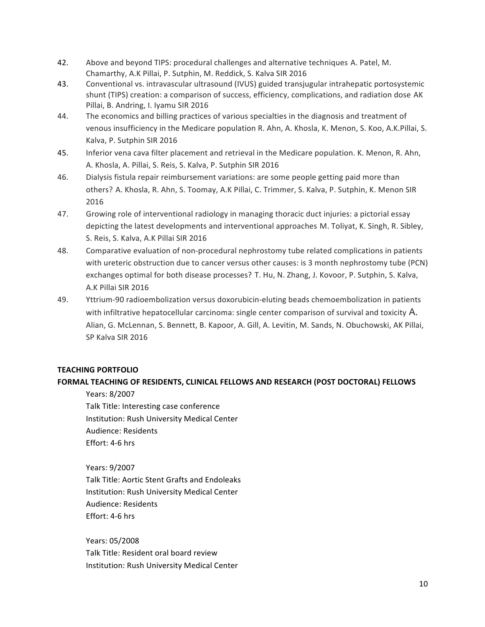- 42. Above and beyond TIPS: procedural challenges and alternative techniques A. Patel, M. Chamarthy, A.K Pillai, P. Sutphin, M. Reddick, S. Kalva SIR 2016
- 43. Conventional vs. intravascular ultrasound (IVUS) guided transjugular intrahepatic portosystemic shunt (TIPS) creation: a comparison of success, efficiency, complications, and radiation dose AK Pillai, B. Andring, I. Iyamu SIR 2016
- 44. The economics and billing practices of various specialties in the diagnosis and treatment of venous insufficiency in the Medicare population R. Ahn, A. Khosla, K. Menon, S. Koo, A.K.Pillai, S. Kalva, P. Sutphin SIR 2016
- 45. Inferior vena cava filter placement and retrieval in the Medicare population. K. Menon, R. Ahn, A. Khosla, A. Pillai, S. Reis, S. Kalva, P. Sutphin SIR 2016
- 46. Dialysis fistula repair reimbursement variations: are some people getting paid more than others? A. Khosla, R. Ahn, S. Toomay, A.K Pillai, C. Trimmer, S. Kalva, P. Sutphin, K. Menon SIR 2016
- 47. Growing role of interventional radiology in managing thoracic duct injuries: a pictorial essay depicting the latest developments and interventional approaches M. Toliyat, K. Singh, R. Sibley, S. Reis, S. Kalva, A.K Pillai SIR 2016
- 48. Comparative evaluation of non-procedural nephrostomy tube related complications in patients with ureteric obstruction due to cancer versus other causes: is 3 month nephrostomy tube (PCN) exchanges optimal for both disease processes? T. Hu, N. Zhang, J. Kovoor, P. Sutphin, S. Kalva, A.K Pillai SIR 2016
- 49. Yttrium-90 radioembolization versus doxorubicin-eluting beads chemoembolization in patients with infiltrative hepatocellular carcinoma: single center comparison of survival and toxicity A. Alian, G. McLennan, S. Bennett, B. Kapoor, A. Gill, A. Levitin, M. Sands, N. Obuchowski, AK Pillai, SP Kalva SIR 2016

## **TEACHING PORTFOLIO**

## **FORMAL TEACHING OF RESIDENTS, CLINICAL FELLOWS AND RESEARCH (POST DOCTORAL) FELLOWS**

Years: 8/2007 Talk Title: Interesting case conference Institution: Rush University Medical Center Audience: Residents Effort: 4-6 hrs

Years: 9/2007 Talk Title: Aortic Stent Grafts and Endoleaks Institution: Rush University Medical Center Audience: Residents Effort: 4-6 hrs

Years: 05/2008 Talk Title: Resident oral board review Institution: Rush University Medical Center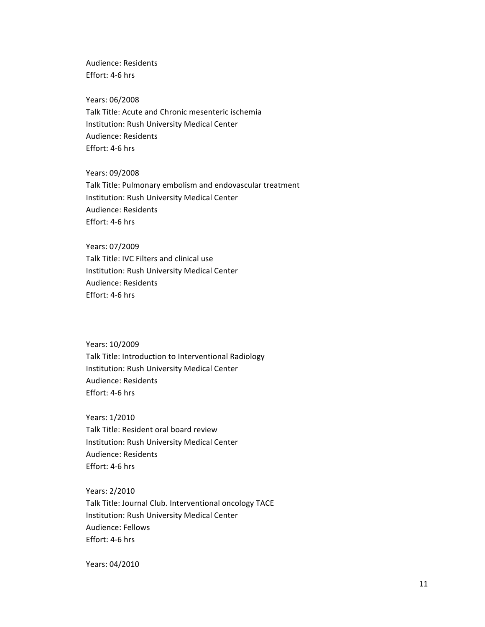Audience: Residents Effort: 4-6 hrs

Years: 06/2008 Talk Title: Acute and Chronic mesenteric ischemia Institution: Rush University Medical Center Audience: Residents Effort: 4-6 hrs

Years: 09/2008 Talk Title: Pulmonary embolism and endovascular treatment Institution: Rush University Medical Center Audience: Residents Effort: 4-6 hrs

 Years: 07/2009 Talk Title: IVC Filters and clinical use Institution: Rush University Medical Center Audience: Residents Effort: 4-6 hrs

Years: 10/2009 Talk Title: Introduction to Interventional Radiology Institution: Rush University Medical Center Audience: Residents Effort: 4-6 hrs

Years: 1/2010 Talk Title: Resident oral board review Institution: Rush University Medical Center Audience: Residents Effort: 4-6 hrs

Years: 2/2010 Talk Title: Journal Club. Interventional oncology TACE Institution: Rush University Medical Center Audience: Fellows Effort: 4-6 hrs

Years: 04/2010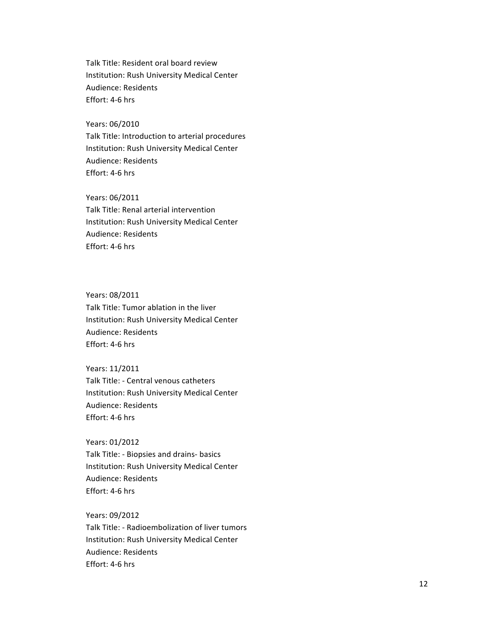Talk Title: Resident oral board review Institution: Rush University Medical Center Audience: Residents Effort: 4-6 hrs

Years: 06/2010 Talk Title: Introduction to arterial procedures Institution: Rush University Medical Center Audience: Residents Effort: 4-6 hrs

Years: 06/2011 Talk Title: Renal arterial intervention Institution: Rush University Medical Center Audience: Residents Effort: 4-6 hrs

Years: 08/2011 Talk Title: Tumor ablation in the liver Institution: Rush University Medical Center Audience: Residents Effort: 4-6 hrs

Years: 11/2011 Talk Title: - Central venous catheters Institution: Rush University Medical Center Audience: Residents Effort: 4-6 hrs

Years: 01/2012 Talk Title: - Biopsies and drains- basics Institution: Rush University Medical Center Audience: Residents Effort: 4-6 hrs

Years: 09/2012 Talk Title: - Radioembolization of liver tumors Institution: Rush University Medical Center Audience: Residents Effort: 4-6 hrs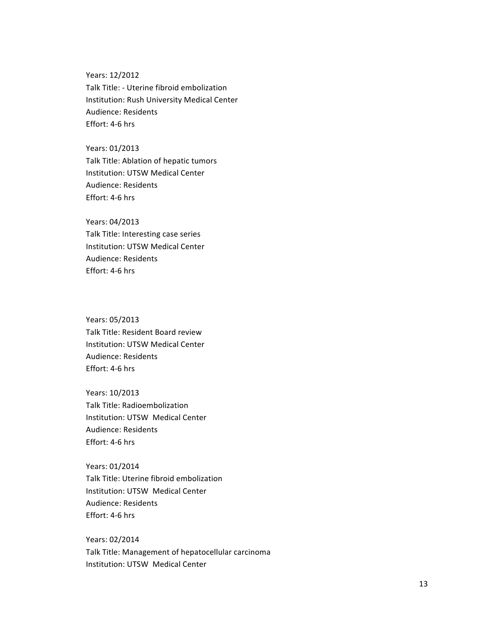Years: 12/2012 Talk Title: - Uterine fibroid embolization Institution: Rush University Medical Center Audience: Residents Effort: 4-6 hrs

Years: 01/2013 Talk Title: Ablation of hepatic tumors Institution: UTSW Medical Center Audience: Residents Effort: 4-6 hrs

Years: 04/2013 Talk Title: Interesting case series Institution: UTSW Medical Center Audience: Residents Effort: 4-6 hrs

Years: 05/2013 Talk Title: Resident Board review Institution: UTSW Medical Center Audience: Residents Effort: 4-6 hrs

Years: 10/2013 Talk Title: Radioembolization Institution: UTSW Medical Center Audience: Residents Effort: 4-6 hrs

Years: 01/2014 Talk Title: Uterine fibroid embolization Institution: UTSW Medical Center Audience: Residents Effort: 4-6 hrs

Years: 02/2014 Talk Title: Management of hepatocellular carcinoma Institution: UTSW Medical Center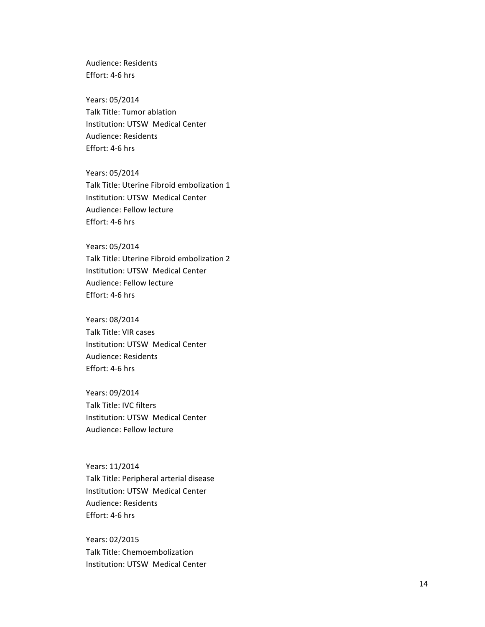Audience: Residents Effort: 4-6 hrs

Years: 05/2014 Talk Title: Tumor ablation Institution: UTSW Medical Center Audience: Residents Effort: 4-6 hrs

Years: 05/2014 Talk Title: Uterine Fibroid embolization 1 Institution: UTSW Medical Center Audience: Fellow lecture Effort: 4-6 hrs

Years: 05/2014 Talk Title: Uterine Fibroid embolization 2 Institution: UTSW Medical Center Audience: Fellow lecture Effort: 4-6 hrs

Years: 08/2014 Talk Title: VIR cases Institution: UTSW Medical Center Audience: Residents Effort: 4-6 hrs

Years: 09/2014 Talk Title: IVC filters Institution: UTSW Medical Center Audience: Fellow lecture

Years: 11/2014 Talk Title: Peripheral arterial disease Institution: UTSW Medical Center Audience: Residents Effort: 4-6 hrs

Years: 02/2015 Talk Title: Chemoembolization Institution: UTSW Medical Center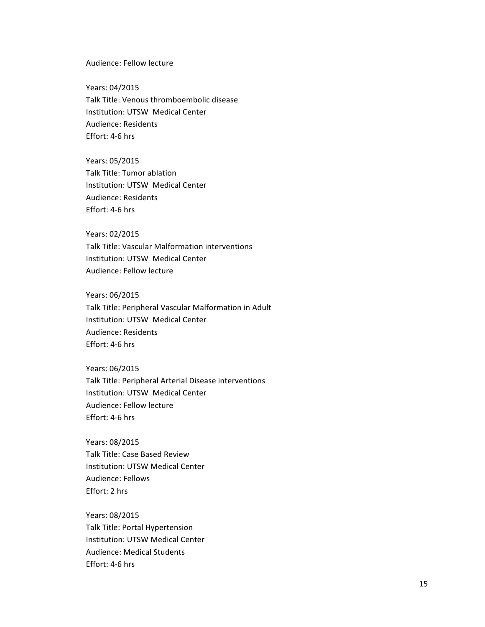Audience: Fellow lecture

Years: 04/2015 Talk Title: Venous thromboembolic disease Institution: UTSW Medical Center Audience: Residents Effort: 4-6 hrs

Years: 05/2015 Talk Title: Tumor ablation Institution: UTSW Medical Center Audience: Residents Effort: 4-6 hrs

#### Years: 02/2015

Talk Title: Vascular Malformation interventions Institution: UTSW Medical Center Audience: Fellow lecture

Years: 06/2015

Talk Title: Peripheral Vascular Malformation in Adult Institution: UTSW Medical Center Audience: Residents Effort: 4-6 hrs

Years: 06/2015 Talk Title: Peripheral Arterial Disease interventions Institution: UTSW Medical Center Audience: Fellow lecture Effort: 4-6 hrs

Years: 08/2015 Talk Title: Case Based Review Institution: UTSW Medical Center Audience: Fellows Effort: 2 hrs

Years: 08/2015 Talk Title: Portal Hypertension Institution: UTSW Medical Center Audience: Medical Students Effort: 4-6 hrs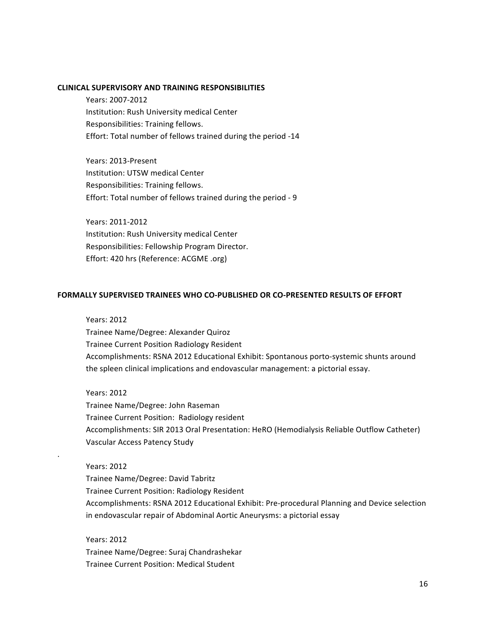#### **CLINICAL SUPERVISORY AND TRAINING RESPONSIBILITIES**

Years: 2007-2012 Institution: Rush University medical Center Responsibilities: Training fellows. Effort: Total number of fellows trained during the period -14

Years: 2013-Present Institution: UTSW medical Center Responsibilities: Training fellows. Effort: Total number of fellows trained during the period - 9

Years: 2011-2012 Institution: Rush University medical Center Responsibilities: Fellowship Program Director. Effort: 420 hrs (Reference: ACGME .org)

#### **FORMALLY SUPERVISED TRAINEES WHO CO-PUBLISHED OR CO-PRESENTED RESULTS OF EFFORT**

Years: 2012 Trainee Name/Degree: Alexander Quiroz Trainee Current Position Radiology Resident Accomplishments: RSNA 2012 Educational Exhibit: Spontanous porto-systemic shunts around the spleen clinical implications and endovascular management: a pictorial essay.

Years: 2012 Trainee Name/Degree: John Raseman Trainee Current Position: Radiology resident Accomplishments: SIR 2013 Oral Presentation: HeRO (Hemodialysis Reliable Outflow Catheter) Vascular Access Patency Study

Years: 2012 Trainee Name/Degree: David Tabritz Trainee Current Position: Radiology Resident Accomplishments: RSNA 2012 Educational Exhibit: Pre-procedural Planning and Device selection in endovascular repair of Abdominal Aortic Aneurysms: a pictorial essay

Years: 2012 Trainee Name/Degree: Suraj Chandrashekar Trainee Current Position: Medical Student

.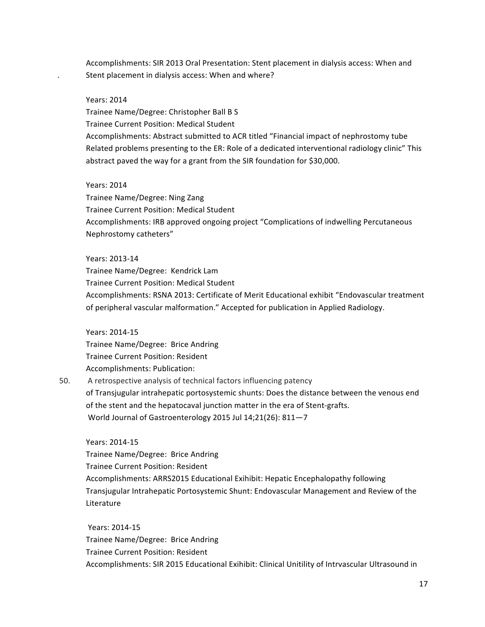Accomplishments: SIR 2013 Oral Presentation: Stent placement in dialysis access: When and Stent placement in dialysis access: When and where?

#### Years: 2014

Trainee Name/Degree: Christopher Ball B S Trainee Current Position: Medical Student Accomplishments: Abstract submitted to ACR titled "Financial impact of nephrostomy tube Related problems presenting to the ER: Role of a dedicated interventional radiology clinic" This abstract paved the way for a grant from the SIR foundation for \$30,000.

#### Years: 2014

Trainee Name/Degree: Ning Zang Trainee Current Position: Medical Student Accomplishments: IRB approved ongoing project "Complications of indwelling Percutaneous Nephrostomy catheters"

#### Years: 2013-14

Trainee Name/Degree: Kendrick Lam Trainee Current Position: Medical Student Accomplishments: RSNA 2013: Certificate of Merit Educational exhibit "Endovascular treatment of peripheral vascular malformation." Accepted for publication in Applied Radiology.

Years: 2014-15

Trainee Name/Degree: Brice Andring Trainee Current Position: Resident Accomplishments: Publication:

50. A retrospective analysis of technical factors influencing patency of Transjugular intrahepatic portosystemic shunts: Does the distance between the venous end of the stent and the hepatocaval junction matter in the era of Stent-grafts. World Journal of Gastroenterology 2015 Jul 14;21(26): 811-7

Years: 2014-15 Trainee Name/Degree: Brice Andring Trainee Current Position: Resident Accomplishments: ARRS2015 Educational Exihibit: Hepatic Encephalopathy following Transjugular Intrahepatic Portosystemic Shunt: Endovascular Management and Review of the Literature

Years: 2014-15 Trainee Name/Degree: Brice Andring Trainee Current Position: Resident Accomplishments: SIR 2015 Educational Exihibit: Clinical Unitility of Intrvascular Ultrasound in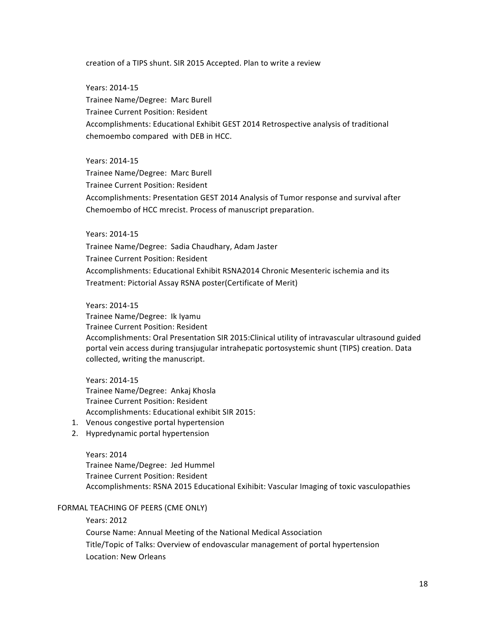creation of a TIPS shunt. SIR 2015 Accepted. Plan to write a review

Years: 2014-15 Trainee Name/Degree: Marc Burell Trainee Current Position: Resident Accomplishments: Educational Exhibit GEST 2014 Retrospective analysis of traditional chemoembo compared with DEB in HCC.

Years: 2014-15 Trainee Name/Degree: Marc Burell Trainee Current Position: Resident Accomplishments: Presentation GEST 2014 Analysis of Tumor response and survival after Chemoembo of HCC mrecist. Process of manuscript preparation.

Years: 2014-15

Trainee Name/Degree: Sadia Chaudhary, Adam Jaster Trainee Current Position: Resident Accomplishments: Educational Exhibit RSNA2014 Chronic Mesenteric ischemia and its Treatment: Pictorial Assay RSNA poster(Certificate of Merit)

Years: 2014-15

Trainee Name/Degree: Ik Iyamu Trainee Current Position: Resident Accomplishments: Oral Presentation SIR 2015: Clinical utility of intravascular ultrasound guided portal vein access during transjugular intrahepatic portosystemic shunt (TIPS) creation. Data collected, writing the manuscript.

Years: 2014-15 Trainee Name/Degree: Ankaj Khosla Trainee Current Position: Resident Accomplishments: Educational exhibit SIR 2015:

- 1. Venous congestive portal hypertension
- 2. Hypredynamic portal hypertension

Years: 2014 Trainee Name/Degree: Jed Hummel Trainee Current Position: Resident Accomplishments: RSNA 2015 Educational Exihibit: Vascular Imaging of toxic vasculopathies

#### FORMAL TEACHING OF PEERS (CME ONLY)

Years: 2012 Course Name: Annual Meeting of the National Medical Association Title/Topic of Talks: Overview of endovascular management of portal hypertension Location: New Orleans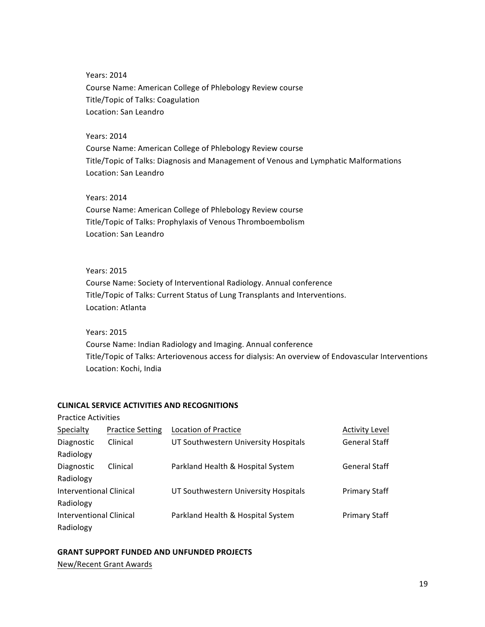Years: 2014 Course Name: American College of Phlebology Review course Title/Topic of Talks: Coagulation Location: San Leandro

#### Years: 2014

Course Name: American College of Phlebology Review course Title/Topic of Talks: Diagnosis and Management of Venous and Lymphatic Malformations Location: San Leandro

# Years: 2014

Course Name: American College of Phlebology Review course Title/Topic of Talks: Prophylaxis of Venous Thromboembolism Location: San Leandro

## Years: 2015

Course Name: Society of Interventional Radiology. Annual conference Title/Topic of Talks: Current Status of Lung Transplants and Interventions. Location: Atlanta

Years: 2015

Practice Activities

Course Name: Indian Radiology and Imaging. Annual conference Title/Topic of Talks: Arteriovenous access for dialysis: An overview of Endovascular Interventions Location: Kochi, India

## **CLINICAL SERVICE ACTIVITIES AND RECOGNITIONS**

| Specialty               | <b>Practice Setting</b> | Location of Practice                 | <b>Activity Level</b> |
|-------------------------|-------------------------|--------------------------------------|-----------------------|
| Diagnostic              | Clinical                | UT Southwestern University Hospitals | <b>General Staff</b>  |
| Radiology               |                         |                                      |                       |
| Diagnostic              | Clinical                | Parkland Health & Hospital System    | <b>General Staff</b>  |
| Radiology               |                         |                                      |                       |
| Interventional Clinical |                         | UT Southwestern University Hospitals | <b>Primary Staff</b>  |
| Radiology               |                         |                                      |                       |
| Interventional Clinical |                         | Parkland Health & Hospital System    | <b>Primary Staff</b>  |
| Radiology               |                         |                                      |                       |

#### **GRANT SUPPORT FUNDED AND UNFUNDED PROJECTS**

New/Recent Grant Awards